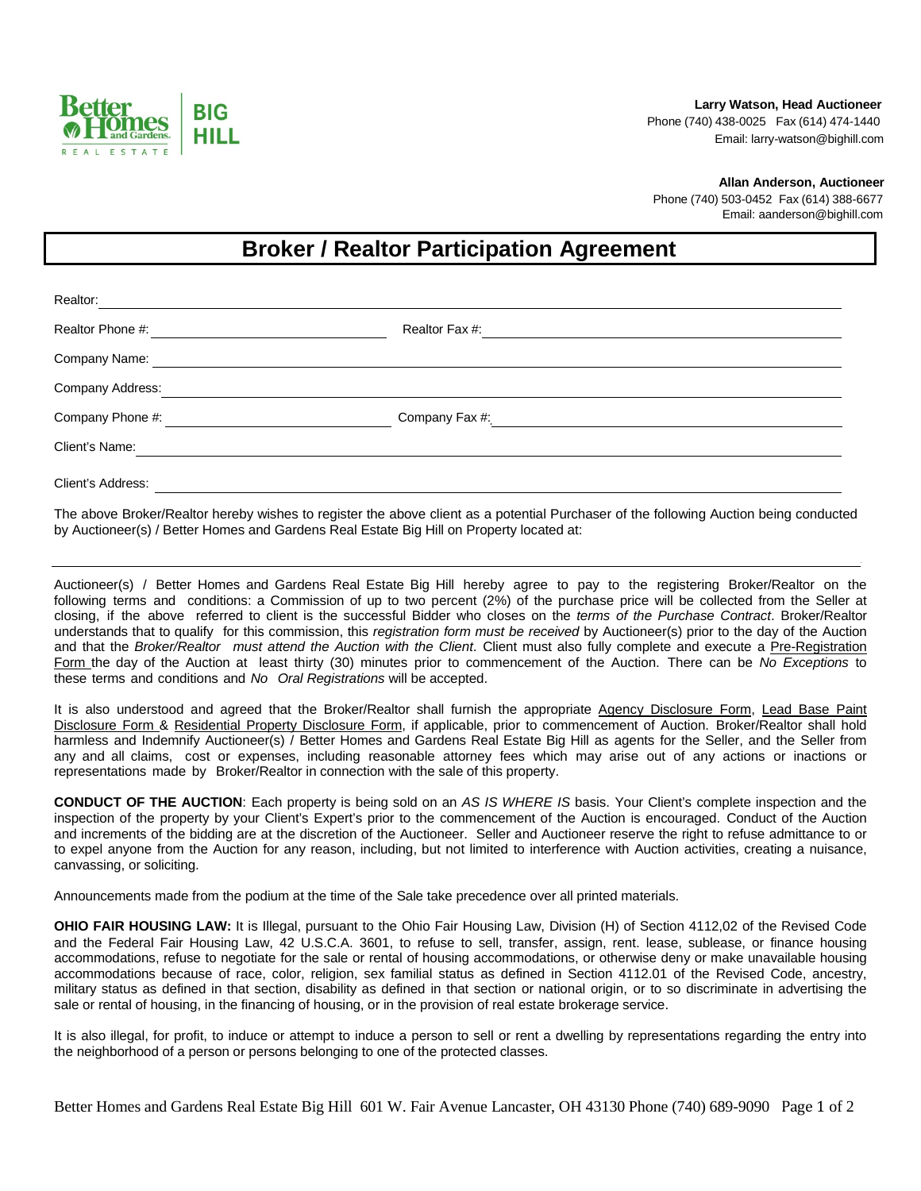

 **Larry Watson, Head Auctioneer** Phone (740) 438-0025 Fax (614) 474-1440 Email: larry-watson@bighill.com

 **Allan Anderson, Auctioneer**

 Phone (740) 503-0452 Fax (614) 388-6677 Email: aanderson@bighill.com

## **Broker / Realtor Participation Agreement**

| Realtor:          |                |  |
|-------------------|----------------|--|
| Realtor Phone #:  | Realtor Fax #: |  |
| Company Name:     |                |  |
| Company Address:  |                |  |
| Company Phone #:  | Company Fax #: |  |
| Client's Name:    |                |  |
| Client's Address: |                |  |

The above Broker/Realtor hereby wishes to register the above client as a potential Purchaser of the following Auction being conducted by Auctioneer(s) / Better Homes and Gardens Real Estate Big Hill on Property located at:

Auctioneer(s) / Better Homes and Gardens Real Estate Big Hill hereby agree to pay to the registering Broker/Realtor on the following terms and conditions: a Commission of up to two percent (2%) of the purchase price will be collected from the Seller at closing, if the above referred to client is the successful Bidder who closes on the *terms of the Purchase Contract*. Broker/Realtor understands that to qualify for this commission, this *registration form must be received* by Auctioneer(s) prior to the day of the Auction and that the *Broker/Realtor must attend the Auction with the Client*. Client must also fully complete and execute a Pre-Registration Form the day of the Auction at least thirty (30) minutes prior to commencement of the Auction. There can be *No Exceptions* to these terms and conditions and *No Oral Registrations* will be accepted.

It is also understood and agreed that the Broker/Realtor shall furnish the appropriate Agency Disclosure Form, Lead Base Paint Disclosure Form & Residential Property Disclosure Form, if applicable, prior to commencement of Auction. Broker/Realtor shall hold harmless and Indemnify Auctioneer(s) / Better Homes and Gardens Real Estate Big Hill as agents for the Seller, and the Seller from any and all claims, cost or expenses, including reasonable attorney fees which may arise out of any actions or inactions or representations made by Broker/Realtor in connection with the sale of this property.

**CONDUCT OF THE AUCTION**: Each property is being sold on an *AS IS WHERE IS* basis. Your Client's complete inspection and the inspection of the property by your Client's Expert's prior to the commencement of the Auction is encouraged. Conduct of the Auction and increments of the bidding are at the discretion of the Auctioneer. Seller and Auctioneer reserve the right to refuse admittance to or to expel anyone from the Auction for any reason, including, but not limited to interference with Auction activities, creating a nuisance, canvassing, or soliciting.

Announcements made from the podium at the time of the Sale take precedence over all printed materials.

**OHIO FAIR HOUSING LAW:** It is Illegal, pursuant to the Ohio Fair Housing Law, Division (H) of Section 4112,02 of the Revised Code and the Federal Fair Housing Law, 42 U.S.C.A. 3601, to refuse to sell, transfer, assign, rent. lease, sublease, or finance housing accommodations, refuse to negotiate for the sale or rental of housing accommodations, or otherwise deny or make unavailable housing accommodations because of race, color, religion, sex familial status as defined in Section 4112.01 of the Revised Code, ancestry, military status as defined in that section, disability as defined in that section or national origin, or to so discriminate in advertising the sale or rental of housing, in the financing of housing, or in the provision of real estate brokerage service.

It is also illegal, for profit, to induce or attempt to induce a person to sell or rent a dwelling by representations regarding the entry into the neighborhood of a person or persons belonging to one of the protected classes.